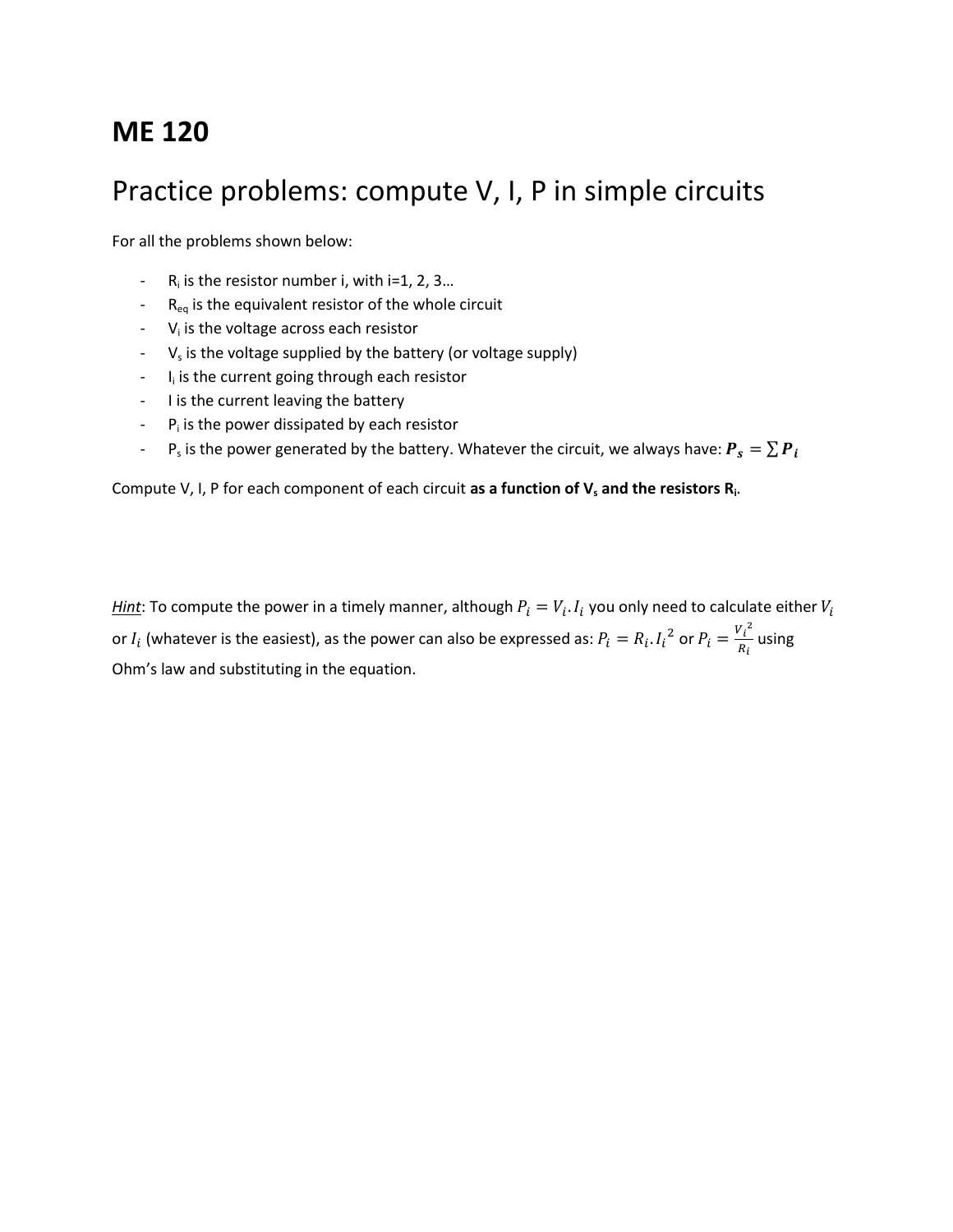# **ME 120**

## Practice problems: compute V, I, P in simple circuits

For all the problems shown below:

- $R_i$  is the resistor number i, with i=1, 2, 3...
- $R_{eq}$  is the equivalent resistor of the whole circuit
- $-V<sub>i</sub>$  is the voltage across each resistor
- $V_s$  is the voltage supplied by the battery (or voltage supply)
- I<sub>i</sub> is the current going through each resistor
- I is the current leaving the battery
- $-P<sub>i</sub>$  is the power dissipated by each resistor
- P<sub>s</sub> is the power generated by the battery. Whatever the circuit, we always have:  $\bm{P_s} = \sum \bm{P}$

Compute V, I, P for each component of each circuit **as a function of V<sup>s</sup> and the resistors R<sup>i</sup>** .

*Hint*: To compute the power in a timely manner, although  $P_i = V_i$ .  $I_i$  you only need to calculate either or  $I_i$  (whatever is the easiest), as the power can also be expressed as:  $P_i = R_i I_i^2$  or  $P_i = \frac{V_i^2}{R_i}$  $\frac{u}{R_i}$  using Ohm's law and substituting in the equation.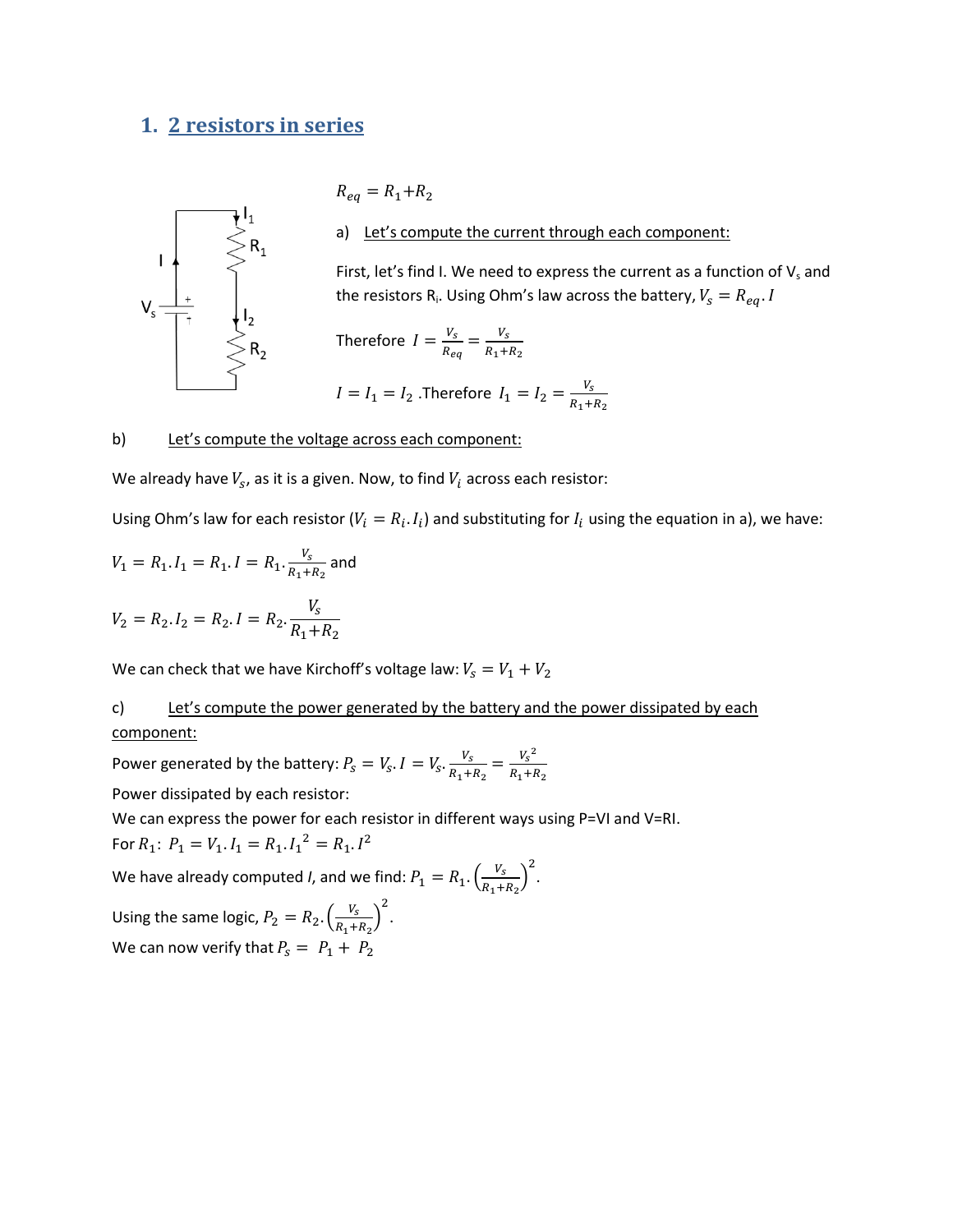## **1. 2 resistors in series**



 $R_{eq} = R_1 + R_2$ 

a) Let's compute the current through each component:

First, let's find I. We need to express the current as a function of  $V_s$  and the resistors R<sub>i</sub>. Using Ohm's law across the battery,

Therefore 
$$
I = \frac{V_s}{R_{eq}} = \frac{V_s}{R_1 + R_2}
$$

$$
I = I_1 = I_2
$$
. Therefore  $I_1 = I_2 = \frac{V_s}{R_1 + R_2}$ 

#### b) Let's compute the voltage across each component:

We already have  $V_s$ , as it is a given. Now, to find  $V_i$  across each resistor:

Using Ohm's law for each resistor ( $V_i = R_i$ .  $I_i$ ) and substituting for  $I_i$  using the equation in a), we have:

$$
V_1 = R_1 \cdot I_1 = R_1 \cdot I = R_1 \cdot \frac{V_s}{R_1 + R_2}
$$
 and

$$
V_2 = R_2 \cdot I_2 = R_2 \cdot I = R_2 \cdot \frac{r_s}{R_1 + R_2}
$$

We can check that we have Kirchoff's voltage law:  $V_s = V_1 + V_2$ 

#### c) Let's compute the power generated by the battery and the power dissipated by each component:

Power generated by the battery:  $P_{\rm s} = V_{\rm s}$ .  $I = V_{\rm s}$ .  $\frac{V_s}{R_1 + R_2} = \frac{{V_s}^2}{R_1 + R_2}$ R

Power dissipated by each resistor:

We can express the power for each resistor in different ways using P=VI and V=RI.

For  $R_1$ :  $P_1 = V_1$ .  $I_1 = R_1$ .  $I_1^2 = R_1$ .  $I^2$ 

We have already computed *I*, and we find:  $P_1 = R_1 \cdot \left(\frac{V_1}{P_1}\right)$  $\frac{V_s}{R_1+R_2}\bigg)^2$ .

Using the same logic,  $P_2 = R_2 \cdot \left(\frac{V_2}{R_1}\right)$  $\frac{V_s}{R_1+R_2}\bigg)^2$ . We can now verify that  $P_s = P_1 + P_2$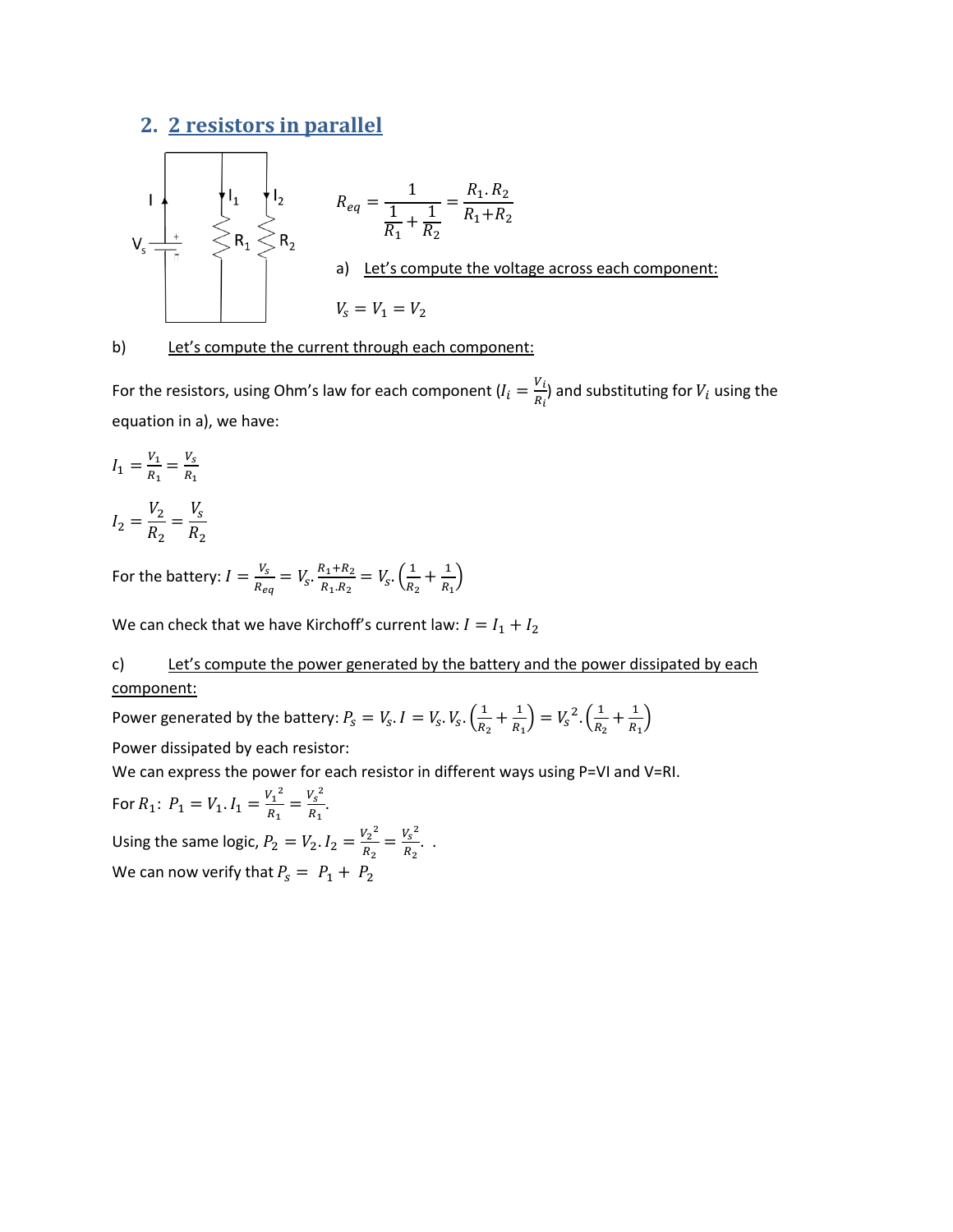## **2. 2 resistors in parallel**



b) Let's compute the current through each component:

For the resistors, using Ohm's law for each component  $(I_i = \frac{V}{R_i})$  $\frac{v_i}{R_i}$ ) and substituting for  $V_i$  using the equation in a), we have:

$$
I_1 = \frac{V_1}{R_1} = \frac{V_s}{R_1}
$$

$$
I_2 = \frac{V_2}{R_2} = \frac{V_s}{R_2}
$$

For the battery:  $I = \frac{V_1}{R}$  $\frac{V_S}{R_{ea}} = V_S \cdot \frac{R}{I}$  $\frac{R_1 + R_2}{R_1 \cdot R_2} = V_s \cdot \left(\frac{1}{R_2}\right)$  $\frac{1}{R_2} + \frac{1}{R_2}$  $\frac{1}{R_1}$ 

We can check that we have Kirchoff's current law:  $I = I_1 + I_2$ 

c) Let's compute the power generated by the battery and the power dissipated by each component:

Power generated by the battery:  $P_{\rm s} = V_{\rm s}$ .  $I = V_{\rm s}$ .  $V_{\rm s}$ .  $\left(\frac{1}{R}\right)$  $\frac{1}{R_2} + \frac{1}{R_2}$  $\left(\frac{1}{R_1}\right) = V_s^2 \cdot \left(\frac{1}{R_2}\right)$  $\frac{1}{R_2} + \frac{1}{R_1}$  $\frac{1}{R_1}$ 

Power dissipated by each resistor:

We can express the power for each resistor in different ways using P=VI and V=RI.

For  $R_1$ :  $P_1 = V_1$ .  $I_1 = \frac{{V_1}^2}{R}$  $\frac{{V_1}^2}{R_1} = \frac{{V_s}^2}{R_1}$  $\frac{r_S}{R_1}$ . Using the same logic,  $P_2 = V_2$ .  $I_2 = \frac{V_2^2}{R}$  $\frac{{V_2}^2}{R_2} = \frac{{V_5}^2}{R_2}$  $\frac{r_S}{R_2}$ .. We can now verify that  $P_s = P_1 + P_2$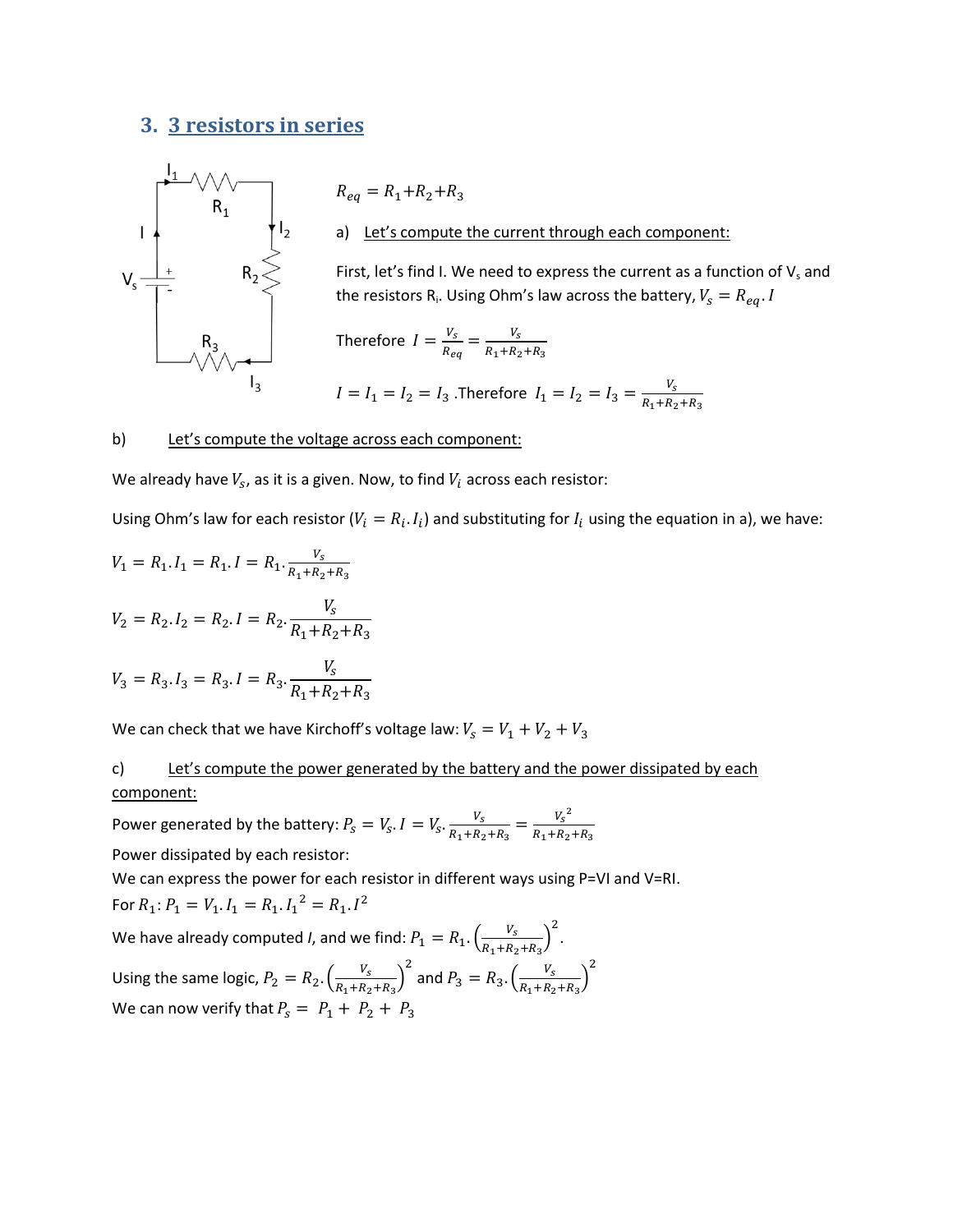### **3. 3 resistors in series**



 $R_{eq} = R_1 + R_2 + R_3$ a) Let's compute the current through each component:

First, let's find I. We need to express the current as a function of  $V_s$  and the resistors R<sub>i</sub>. Using Ohm's law across the battery,

Therefore 
$$
I = \frac{V_s}{R_{eq}} = \frac{V_s}{R_1 + R_2 + R_3}
$$
  
\n $I = I_1 = I_2 = I_3$ . Therefore  $I_1 = I_2 = I_3 = \frac{V_s}{R_1 + R_2 + R_3}$ 

#### b) Let's compute the voltage across each component:

We already have  $V_s$ , as it is a given. Now, to find  $V_i$  across each resistor:

Using Ohm's law for each resistor ( $V_i = R_i$ .  $I_i$ ) and substituting for  $I_i$  using the equation in a), we have:

$$
V_1 = R_1 \cdot I_1 = R_1 \cdot I = R_1 \cdot \frac{V_s}{R_1 + R_2 + R_3}
$$
  

$$
V_2 = R_2 \cdot I_2 = R_2 \cdot I = R_2 \cdot \frac{V_s}{R_1 + R_2 + R_3}
$$

$$
V_3 = R_3 \cdot I_3 = R_3 \cdot I = R_3 \cdot \frac{V_s}{R_1 + R_2 + R_3}
$$

We can check that we have Kirchoff's voltage law:  $V_s = V_1 + V_2 + V_3$ 

c) Let's compute the power generated by the battery and the power dissipated by each component:

Power generated by the battery:  $P_{\rm s} = V_{\rm s}$ .  $I = V_{\rm s}$ .  $\frac{V_{\rm s}}{P_{\rm s} + P_{\rm s}}$  $\frac{V_s}{R_1 + R_2 + R_3} = \frac{{V_s}^2}{R_1 + R_2}$ R Power dissipated by each resistor:

We can express the power for each resistor in different ways using P=VI and V=RI. For  $R_1$ :  $P_1 = V_1$ .  $I_1 = R_1$ .  $I_1^2 = R_1$ .  $I^2$ We have already computed *I*, and we find:  $P_1 = R_1$ .  $\left(\frac{V_1}{P_1+P_2}\right)$  $\frac{V_s}{R_1 + R_2 + R_3} \bigg)^2$ .

Using the same logic,  $P_2 = R_2 \cdot \left(\frac{V_2}{R_1 + R_2}\right)$  $\frac{V_{S}}{R_{1}+R_{2}+R_{3}}\big)^{2}$  and  $P_{3} = R_{3}.\left(\frac{V_{S}}{R_{1}+R_{3}}\right)$  $\frac{V_s}{R_1 + R_2 + R_3}$ <sup>2</sup> We can now verify that  $P_s = P_1 + P_2 + P_3$